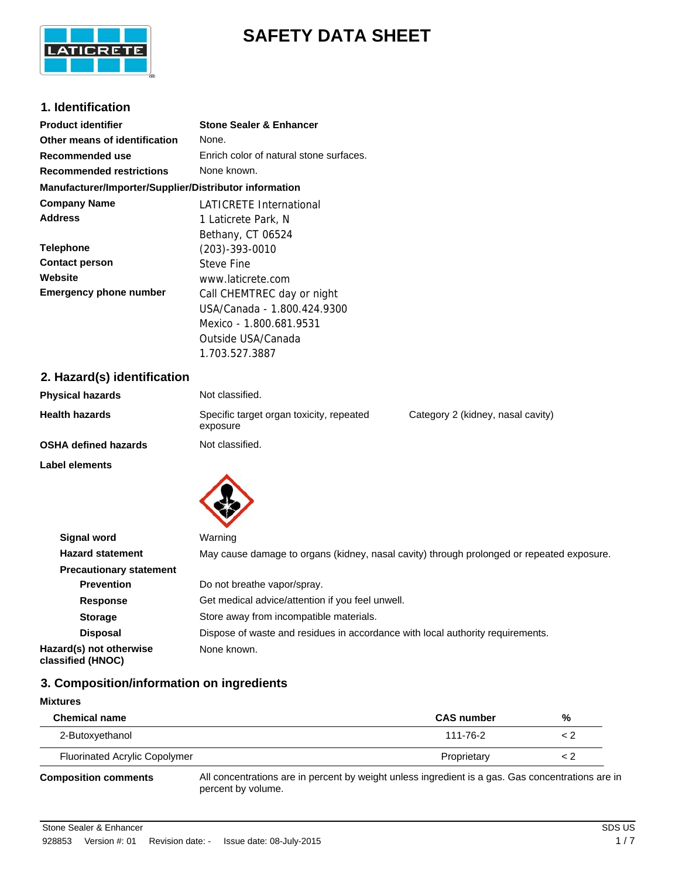

# **SAFETY DATA SHEET**

# **1. Identification**

| <b>Product identifier</b>                              | <b>Stone Sealer &amp; Enhancer</b>      |
|--------------------------------------------------------|-----------------------------------------|
| Other means of identification                          | None.                                   |
| Recommended use                                        | Enrich color of natural stone surfaces. |
| <b>Recommended restrictions</b>                        | None known.                             |
| Manufacturer/Importer/Supplier/Distributor information |                                         |
| <b>Company Name</b>                                    | LATICRETE International                 |
| <b>Address</b>                                         | 1 Laticrete Park, N                     |
|                                                        | Bethany, CT 06524                       |
| <b>Telephone</b>                                       | $(203) - 393 - 0010$                    |
| <b>Contact person</b>                                  | Steve Fine                              |
| Website                                                | www.laticrete.com                       |
| <b>Emergency phone number</b>                          | Call CHEMTREC day or night              |
|                                                        | USA/Canada - 1.800.424.9300             |
|                                                        | Mexico - 1.800.681.9531                 |
|                                                        | Outside USA/Canada                      |

1.703.527.3887

# **2. Hazard(s) identification**

| <b>Physical hazards</b>     | Not classified.                                      |                                   |
|-----------------------------|------------------------------------------------------|-----------------------------------|
| <b>Health hazards</b>       | Specific target organ toxicity, repeated<br>exposure | Category 2 (kidney, nasal cavity) |
| <b>OSHA defined hazards</b> | Not classified.                                      |                                   |
| <b>Label elements</b>       |                                                      |                                   |
| <b>Signal word</b>          | Warning                                              |                                   |

| Signal word                                  | <i>vvarning</i>                                                                           |
|----------------------------------------------|-------------------------------------------------------------------------------------------|
| <b>Hazard statement</b>                      | May cause damage to organs (kidney, nasal cavity) through prolonged or repeated exposure. |
| <b>Precautionary statement</b>               |                                                                                           |
| <b>Prevention</b>                            | Do not breathe vapor/spray.                                                               |
| <b>Response</b>                              | Get medical advice/attention if you feel unwell.                                          |
| <b>Storage</b>                               | Store away from incompatible materials.                                                   |
| <b>Disposal</b>                              | Dispose of waste and residues in accordance with local authority requirements.            |
| Hazard(s) not otherwise<br>classified (HNOC) | None known.                                                                               |

# **3. Composition/information on ingredients**

#### **Mixtures**

| <b>Chemical name</b>                 | <b>CAS number</b> | % |
|--------------------------------------|-------------------|---|
| 2-Butoxyethanol                      | 111-76-2          |   |
| <b>Fluorinated Acrylic Copolymer</b> | Proprietary       |   |

**Composition comments**

All concentrations are in percent by weight unless ingredient is a gas. Gas concentrations are in percent by volume.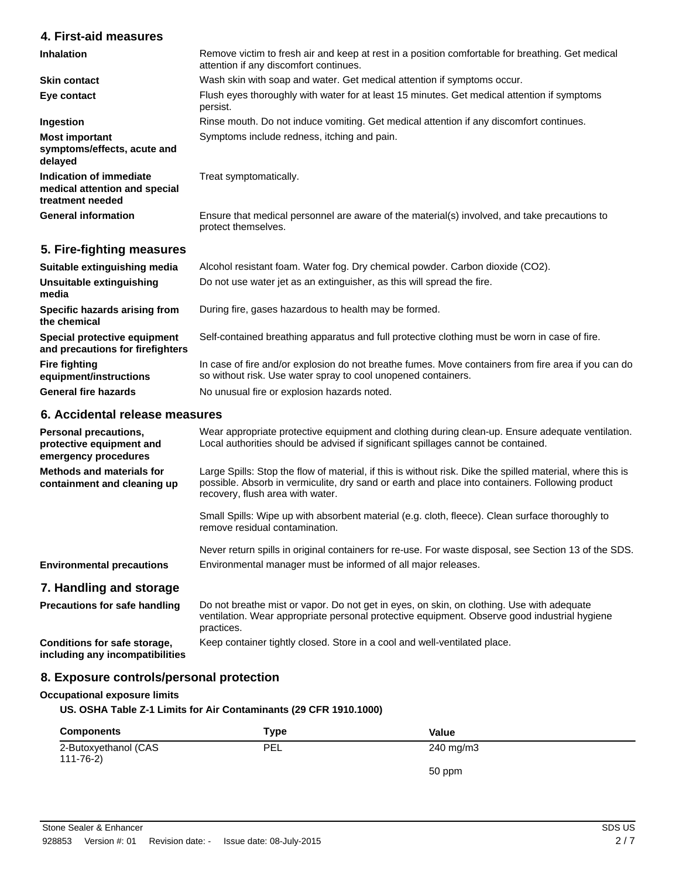# **4. First-aid measures**

| <b>Inhalation</b>                                                            | Remove victim to fresh air and keep at rest in a position comfortable for breathing. Get medical<br>attention if any discomfort continues. |
|------------------------------------------------------------------------------|--------------------------------------------------------------------------------------------------------------------------------------------|
| <b>Skin contact</b>                                                          | Wash skin with soap and water. Get medical attention if symptoms occur.                                                                    |
| Eye contact                                                                  | Flush eyes thoroughly with water for at least 15 minutes. Get medical attention if symptoms<br>persist.                                    |
| Ingestion                                                                    | Rinse mouth. Do not induce vomiting. Get medical attention if any discomfort continues.                                                    |
| <b>Most important</b><br>symptoms/effects, acute and<br>delayed              | Symptoms include redness, itching and pain.                                                                                                |
| Indication of immediate<br>medical attention and special<br>treatment needed | Treat symptomatically.                                                                                                                     |
| <b>General information</b>                                                   | Ensure that medical personnel are aware of the material(s) involved, and take precautions to<br>protect themselves.                        |

# **5. Fire-fighting measures**

| Suitable extinguishing media                                     | Alcohol resistant foam. Water fog. Dry chemical powder. Carbon dioxide (CO2).                                                                                        |
|------------------------------------------------------------------|----------------------------------------------------------------------------------------------------------------------------------------------------------------------|
| Unsuitable extinguishing<br>media                                | Do not use water jet as an extinguisher, as this will spread the fire.                                                                                               |
| Specific hazards arising from<br>the chemical                    | During fire, gases hazardous to health may be formed.                                                                                                                |
| Special protective equipment<br>and precautions for firefighters | Self-contained breathing apparatus and full protective clothing must be worn in case of fire.                                                                        |
| <b>Fire fighting</b><br>equipment/instructions                   | In case of fire and/or explosion do not breathe fumes. Move containers from fire area if you can do<br>so without risk. Use water spray to cool unopened containers. |
| <b>General fire hazards</b>                                      | No unusual fire or explosion hazards noted.                                                                                                                          |

# **6. Accidental release measures**

| <b>Personal precautions,</b><br>protective equipment and<br>emergency procedures | Wear appropriate protective equipment and clothing during clean-up. Ensure adequate ventilation.<br>Local authorities should be advised if significant spillages cannot be contained.                                                             |
|----------------------------------------------------------------------------------|---------------------------------------------------------------------------------------------------------------------------------------------------------------------------------------------------------------------------------------------------|
| <b>Methods and materials for</b><br>containment and cleaning up                  | Large Spills: Stop the flow of material, if this is without risk. Dike the spilled material, where this is<br>possible. Absorb in vermiculite, dry sand or earth and place into containers. Following product<br>recovery, flush area with water. |
|                                                                                  | Small Spills: Wipe up with absorbent material (e.g. cloth, fleece). Clean surface thoroughly to<br>remove residual contamination.                                                                                                                 |
| <b>Environmental precautions</b>                                                 | Never return spills in original containers for re-use. For waste disposal, see Section 13 of the SDS.<br>Environmental manager must be informed of all major releases.                                                                            |
|                                                                                  |                                                                                                                                                                                                                                                   |
| 7. Handling and storage                                                          |                                                                                                                                                                                                                                                   |
| <b>Precautions for safe handling</b>                                             | Do not breathe mist or vapor. Do not get in eyes, on skin, on clothing. Use with adequate<br>ventilation. Wear appropriate personal protective equipment. Observe good industrial hygiene<br>practices.                                           |
| Conditions for safe storage,<br>including any incompatibilities                  | Keep container tightly closed. Store in a cool and well-ventilated place.                                                                                                                                                                         |

# **8. Exposure controls/personal protection**

# **Occupational exposure limits**

**US. OSHA Table Z-1 Limits for Air Contaminants (29 CFR 1910.1000)**

| <b>Components</b>                      | Type | Value              |
|----------------------------------------|------|--------------------|
| 2-Butoxyethanol (CAS<br>$111 - 76 - 2$ | PEL  | $240 \text{ mg/m}$ |
|                                        |      | 50 ppm             |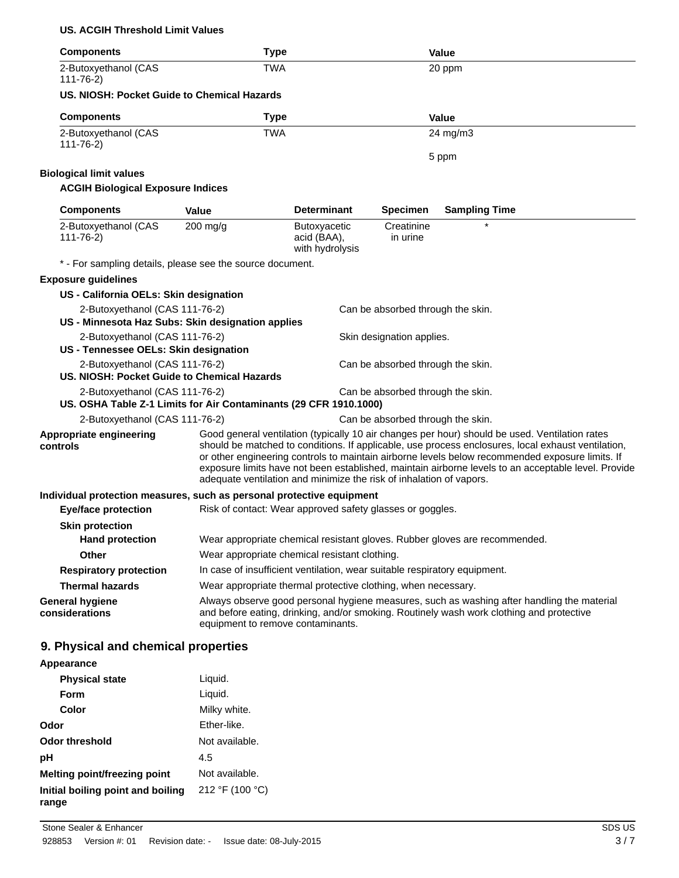#### **US. ACGIH Threshold Limit Values**

| <b>Components</b>                                                             | <b>Type</b>                                                               |                                                |                                   | <b>Value</b>                                                                                                                                                                                                                                                                                                                                                                                                   |
|-------------------------------------------------------------------------------|---------------------------------------------------------------------------|------------------------------------------------|-----------------------------------|----------------------------------------------------------------------------------------------------------------------------------------------------------------------------------------------------------------------------------------------------------------------------------------------------------------------------------------------------------------------------------------------------------------|
| 2-Butoxyethanol (CAS<br>$111 - 76 - 2$                                        | <b>TWA</b>                                                                |                                                |                                   | 20 ppm                                                                                                                                                                                                                                                                                                                                                                                                         |
| US. NIOSH: Pocket Guide to Chemical Hazards                                   |                                                                           |                                                |                                   |                                                                                                                                                                                                                                                                                                                                                                                                                |
| <b>Components</b>                                                             | <b>Type</b>                                                               |                                                |                                   | <b>Value</b>                                                                                                                                                                                                                                                                                                                                                                                                   |
| 2-Butoxyethanol (CAS<br>$111 - 76 - 2$                                        | <b>TWA</b>                                                                |                                                |                                   | 24 mg/m3                                                                                                                                                                                                                                                                                                                                                                                                       |
|                                                                               |                                                                           |                                                |                                   | 5 ppm                                                                                                                                                                                                                                                                                                                                                                                                          |
| <b>Biological limit values</b>                                                |                                                                           |                                                |                                   |                                                                                                                                                                                                                                                                                                                                                                                                                |
| <b>ACGIH Biological Exposure Indices</b>                                      |                                                                           |                                                |                                   |                                                                                                                                                                                                                                                                                                                                                                                                                |
| <b>Components</b>                                                             | Value                                                                     | <b>Determinant</b>                             | <b>Specimen</b>                   | <b>Sampling Time</b>                                                                                                                                                                                                                                                                                                                                                                                           |
| 2-Butoxyethanol (CAS<br>$111 - 76 - 2)$                                       | $200$ mg/g                                                                | Butoxyacetic<br>acid (BAA),<br>with hydrolysis | Creatinine<br>in urine            | $\star$                                                                                                                                                                                                                                                                                                                                                                                                        |
|                                                                               | * - For sampling details, please see the source document.                 |                                                |                                   |                                                                                                                                                                                                                                                                                                                                                                                                                |
| <b>Exposure guidelines</b>                                                    |                                                                           |                                                |                                   |                                                                                                                                                                                                                                                                                                                                                                                                                |
| US - California OELs: Skin designation                                        |                                                                           |                                                |                                   |                                                                                                                                                                                                                                                                                                                                                                                                                |
| 2-Butoxyethanol (CAS 111-76-2)                                                |                                                                           |                                                | Can be absorbed through the skin. |                                                                                                                                                                                                                                                                                                                                                                                                                |
|                                                                               | US - Minnesota Haz Subs: Skin designation applies                         |                                                |                                   |                                                                                                                                                                                                                                                                                                                                                                                                                |
| 2-Butoxyethanol (CAS 111-76-2)<br>US - Tennessee OELs: Skin designation       |                                                                           |                                                | Skin designation applies.         |                                                                                                                                                                                                                                                                                                                                                                                                                |
| 2-Butoxyethanol (CAS 111-76-2)<br>US. NIOSH: Pocket Guide to Chemical Hazards |                                                                           |                                                | Can be absorbed through the skin. |                                                                                                                                                                                                                                                                                                                                                                                                                |
| 2-Butoxyethanol (CAS 111-76-2)                                                | US. OSHA Table Z-1 Limits for Air Contaminants (29 CFR 1910.1000)         |                                                | Can be absorbed through the skin. |                                                                                                                                                                                                                                                                                                                                                                                                                |
| 2-Butoxyethanol (CAS 111-76-2)                                                |                                                                           |                                                | Can be absorbed through the skin. |                                                                                                                                                                                                                                                                                                                                                                                                                |
| Appropriate engineering<br>controls                                           | adequate ventilation and minimize the risk of inhalation of vapors.       |                                                |                                   | Good general ventilation (typically 10 air changes per hour) should be used. Ventilation rates<br>should be matched to conditions. If applicable, use process enclosures, local exhaust ventilation,<br>or other engineering controls to maintain airborne levels below recommended exposure limits. If<br>exposure limits have not been established, maintain airborne levels to an acceptable level. Provide |
| Individual protection measures, such as personal protective equipment         |                                                                           |                                                |                                   |                                                                                                                                                                                                                                                                                                                                                                                                                |
| <b>Eye/face protection</b>                                                    | Risk of contact: Wear approved safety glasses or goggles.                 |                                                |                                   |                                                                                                                                                                                                                                                                                                                                                                                                                |
| <b>Skin protection</b>                                                        |                                                                           |                                                |                                   |                                                                                                                                                                                                                                                                                                                                                                                                                |
| <b>Hand protection</b>                                                        |                                                                           |                                                |                                   | Wear appropriate chemical resistant gloves. Rubber gloves are recommended.                                                                                                                                                                                                                                                                                                                                     |
| <b>Other</b>                                                                  | Wear appropriate chemical resistant clothing.                             |                                                |                                   |                                                                                                                                                                                                                                                                                                                                                                                                                |
| <b>Respiratory protection</b>                                                 | In case of insufficient ventilation, wear suitable respiratory equipment. |                                                |                                   |                                                                                                                                                                                                                                                                                                                                                                                                                |
| <b>Thermal hazards</b>                                                        | Wear appropriate thermal protective clothing, when necessary.             |                                                |                                   |                                                                                                                                                                                                                                                                                                                                                                                                                |
| <b>General hygiene</b><br>considerations                                      | equipment to remove contaminants.                                         |                                                |                                   | Always observe good personal hygiene measures, such as washing after handling the material<br>and before eating, drinking, and/or smoking. Routinely wash work clothing and protective                                                                                                                                                                                                                         |
| 9. Physical and chemical properties                                           |                                                                           |                                                |                                   |                                                                                                                                                                                                                                                                                                                                                                                                                |
| Appearance                                                                    |                                                                           |                                                |                                   |                                                                                                                                                                                                                                                                                                                                                                                                                |
|                                                                               |                                                                           |                                                |                                   |                                                                                                                                                                                                                                                                                                                                                                                                                |

| <b>Physical state</b>                      | Liquid.         |
|--------------------------------------------|-----------------|
| Form                                       | Liquid.         |
| Color                                      | Milky white.    |
| Odor                                       | Ether-like.     |
| Odor threshold                             | Not available.  |
| рH                                         | 4.5             |
| <b>Melting point/freezing point</b>        | Not available.  |
| Initial boiling point and boiling<br>range | 212 °F (100 °C) |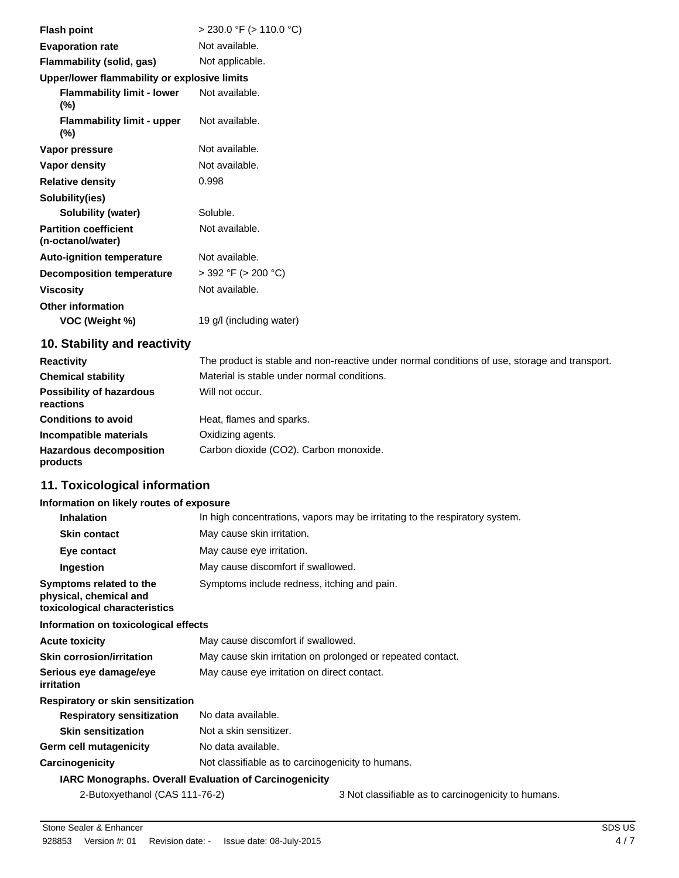| <b>Flash point</b>                                | $>$ 230.0 °F ( $>$ 110.0 °C) |
|---------------------------------------------------|------------------------------|
| <b>Evaporation rate</b>                           | Not available.               |
| Flammability (solid, gas)                         | Not applicable.              |
| Upper/lower flammability or explosive limits      |                              |
| <b>Flammability limit - lower</b><br>$(\%)$       | Not available.               |
| <b>Flammability limit - upper</b><br>$(\%)$       | Not available.               |
| Vapor pressure                                    | Not available.               |
| Vapor density                                     | Not available.               |
| <b>Relative density</b>                           | 0.998                        |
| Solubility(ies)                                   |                              |
| <b>Solubility (water)</b>                         | Soluble.                     |
| <b>Partition coefficient</b><br>(n-octanol/water) | Not available.               |
| <b>Auto-ignition temperature</b>                  | Not available.               |
| <b>Decomposition temperature</b>                  | $>$ 392 °F ( $>$ 200 °C)     |
| <b>Viscosity</b>                                  | Not available.               |
| <b>Other information</b>                          |                              |
| VOC (Weight %)                                    | 19 g/l (including water)     |

# **10. Stability and reactivity**

| <b>Reactivity</b>                            | The product is stable and non-reactive under normal conditions of use, storage and transport. |
|----------------------------------------------|-----------------------------------------------------------------------------------------------|
| <b>Chemical stability</b>                    | Material is stable under normal conditions.                                                   |
| <b>Possibility of hazardous</b><br>reactions | Will not occur.                                                                               |
| <b>Conditions to avoid</b>                   | Heat, flames and sparks.                                                                      |
| Incompatible materials                       | Oxidizing agents.                                                                             |
| <b>Hazardous decomposition</b><br>products   | Carbon dioxide (CO2). Carbon monoxide.                                                        |

# **11. Toxicological information**

#### **Information on likely routes of exposure**

| <b>Inhalation</b>                                                                  | In high concentrations, vapors may be irritating to the respiratory system. |                                                     |  |
|------------------------------------------------------------------------------------|-----------------------------------------------------------------------------|-----------------------------------------------------|--|
| <b>Skin contact</b>                                                                | May cause skin irritation.                                                  |                                                     |  |
| Eye contact                                                                        | May cause eye irritation.                                                   |                                                     |  |
| Ingestion                                                                          | May cause discomfort if swallowed.                                          |                                                     |  |
| Symptoms related to the<br>physical, chemical and<br>toxicological characteristics | Symptoms include redness, itching and pain.                                 |                                                     |  |
| Information on toxicological effects                                               |                                                                             |                                                     |  |
| <b>Acute toxicity</b>                                                              | May cause discomfort if swallowed.                                          |                                                     |  |
| <b>Skin corrosion/irritation</b>                                                   | May cause skin irritation on prolonged or repeated contact.                 |                                                     |  |
| Serious eye damage/eye<br>irritation                                               | May cause eye irritation on direct contact.                                 |                                                     |  |
| Respiratory or skin sensitization                                                  |                                                                             |                                                     |  |
| <b>Respiratory sensitization</b>                                                   | No data available.                                                          |                                                     |  |
| <b>Skin sensitization</b>                                                          | Not a skin sensitizer.                                                      |                                                     |  |
| <b>Germ cell mutagenicity</b>                                                      | No data available.                                                          |                                                     |  |
| Carcinogenicity                                                                    | Not classifiable as to carcinogenicity to humans.                           |                                                     |  |
| <b>IARC Monographs. Overall Evaluation of Carcinogenicity</b>                      |                                                                             |                                                     |  |
| 2-Butoxyethanol (CAS 111-76-2)                                                     |                                                                             | 3 Not classifiable as to carcinogenicity to humans. |  |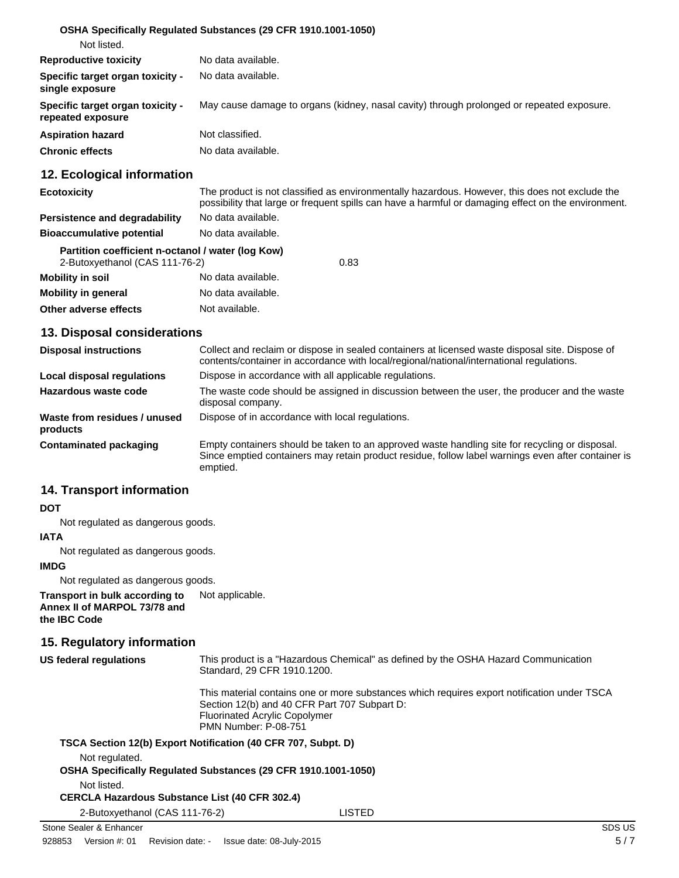#### **OSHA Specifically Regulated Substances (29 CFR 1910.1001-1050)**

| Not listed.                                           |                                                                                           |
|-------------------------------------------------------|-------------------------------------------------------------------------------------------|
| <b>Reproductive toxicity</b>                          | No data available.                                                                        |
| Specific target organ toxicity -<br>single exposure   | No data available.                                                                        |
| Specific target organ toxicity -<br>repeated exposure | May cause damage to organs (kidney, nasal cavity) through prolonged or repeated exposure. |
| <b>Aspiration hazard</b>                              | Not classified.                                                                           |
| <b>Chronic effects</b>                                | No data available.                                                                        |

# **12. Ecological information**

| <b>Ecotoxicity</b>               | The product is not classified as environmentally hazardous. However, this does not exclude the<br>possibility that large or frequent spills can have a harmful or damaging effect on the environment. |
|----------------------------------|-------------------------------------------------------------------------------------------------------------------------------------------------------------------------------------------------------|
| Persistence and degradability    | No data available.                                                                                                                                                                                    |
| <b>Bioaccumulative potential</b> | No data available.                                                                                                                                                                                    |

# **Partition coefficient n-octanol / water (log Kow)**

| 2-Butoxyethanol (CAS 111-76-2) |                    | 0.83 |
|--------------------------------|--------------------|------|
| Mobility in soil               | No data available. |      |
| Mobility in general            | No data available. |      |
| Other adverse effects          | Not available.     |      |

#### **13. Disposal considerations**

| <b>Disposal instructions</b>             | Collect and reclaim or dispose in sealed containers at licensed waste disposal site. Dispose of<br>contents/container in accordance with local/regional/national/international regulations.                      |
|------------------------------------------|------------------------------------------------------------------------------------------------------------------------------------------------------------------------------------------------------------------|
| Local disposal regulations               | Dispose in accordance with all applicable regulations.                                                                                                                                                           |
| Hazardous waste code                     | The waste code should be assigned in discussion between the user, the producer and the waste<br>disposal company.                                                                                                |
| Waste from residues / unused<br>products | Dispose of in accordance with local regulations.                                                                                                                                                                 |
| Contaminated packaging                   | Empty containers should be taken to an approved waste handling site for recycling or disposal.<br>Since emptied containers may retain product residue, follow label warnings even after container is<br>emptied. |

# **14. Transport information**

#### **DOT**

Not regulated as dangerous goods.

### **IATA**

Not regulated as dangerous goods.

#### **IMDG**

Not regulated as dangerous goods.

**Transport in bulk according to** Not applicable. **Annex II of MARPOL 73/78 and the IBC Code**

# **15. Regulatory information**

| <b>US federal regulations</b>                         | This product is a "Hazardous Chemical" as defined by the OSHA Hazard Communication<br>Standard, 29 CFR 1910.1200.                                                                                                  |  |
|-------------------------------------------------------|--------------------------------------------------------------------------------------------------------------------------------------------------------------------------------------------------------------------|--|
|                                                       | This material contains one or more substances which requires export notification under TSCA<br>Section 12(b) and 40 CFR Part 707 Subpart D:<br><b>Fluorinated Acrylic Copolymer</b><br><b>PMN Number: P-08-751</b> |  |
| Not regulated.                                        | TSCA Section 12(b) Export Notification (40 CFR 707, Subpt. D)                                                                                                                                                      |  |
|                                                       | OSHA Specifically Regulated Substances (29 CFR 1910.1001-1050)                                                                                                                                                     |  |
| Not listed.                                           |                                                                                                                                                                                                                    |  |
| <b>CERCLA Hazardous Substance List (40 CFR 302.4)</b> |                                                                                                                                                                                                                    |  |
| 2-Butoxyethanol (CAS 111-76-2)                        | LISTED                                                                                                                                                                                                             |  |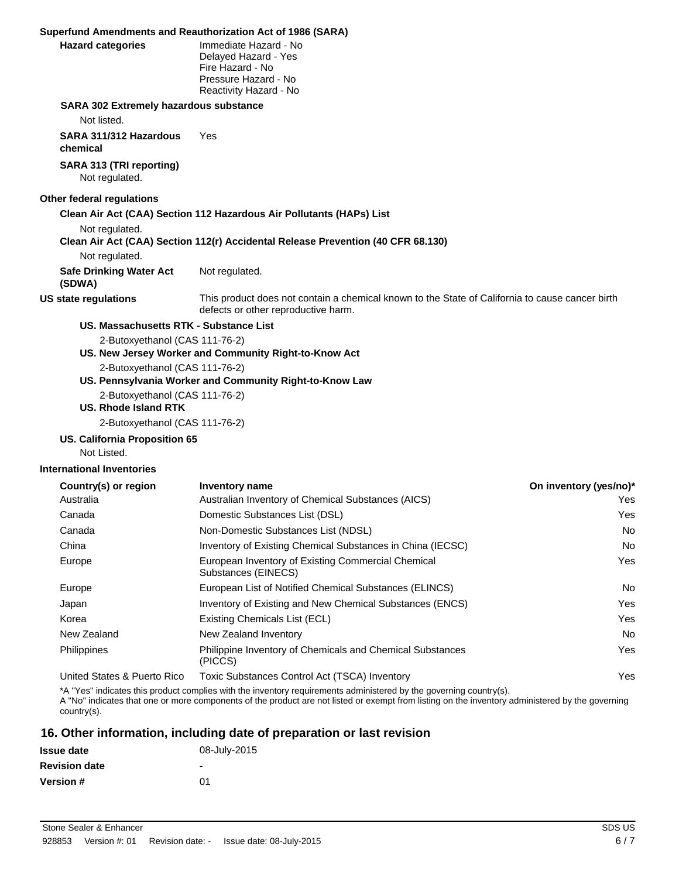#### **Superfund Amendments and Reauthorization Act of 1986 (SARA)**

| Superfund Amendments and Reauthorization Act of 1986 (SARA) |                                                                                                                                        |
|-------------------------------------------------------------|----------------------------------------------------------------------------------------------------------------------------------------|
| <b>Hazard categories</b>                                    | Immediate Hazard - No<br>Delayed Hazard - Yes<br>Fire Hazard - No<br>Pressure Hazard - No<br>Reactivity Hazard - No                    |
| <b>SARA 302 Extremely hazardous substance</b>               |                                                                                                                                        |
| Not listed.                                                 |                                                                                                                                        |
| SARA 311/312 Hazardous<br>chemical                          | Yes                                                                                                                                    |
| SARA 313 (TRI reporting)<br>Not regulated.                  |                                                                                                                                        |
| Other federal regulations                                   |                                                                                                                                        |
|                                                             | Clean Air Act (CAA) Section 112 Hazardous Air Pollutants (HAPs) List                                                                   |
| Not regulated.                                              | Clean Air Act (CAA) Section 112(r) Accidental Release Prevention (40 CFR 68.130)                                                       |
| Not regulated.                                              |                                                                                                                                        |
| <b>Safe Drinking Water Act</b><br>(SDWA)                    | Not regulated.                                                                                                                         |
| US state regulations                                        | This product does not contain a chemical known to the State of California to cause cancer birth<br>defects or other reproductive harm. |
| <b>US. Massachusetts RTK - Substance List</b>               |                                                                                                                                        |
| 2-Butoxyethanol (CAS 111-76-2)                              | US. New Jersey Worker and Community Right-to-Know Act                                                                                  |
| 2-Butoxyethanol (CAS 111-76-2)                              | US. Pennsylvania Worker and Community Right-to-Know Law                                                                                |
| 2-Butoxyethanol (CAS 111-76-2)<br>US. Rhode Island RTK      |                                                                                                                                        |
| 2-Butoxyethanol (CAS 111-76-2)                              |                                                                                                                                        |
| <b>US. California Proposition 65</b><br>Not Listed.         |                                                                                                                                        |
| <b>International Inventories</b>                            |                                                                                                                                        |

| Country(s) or region        | Inventory name                                                              | On inventory (yes/no)* |
|-----------------------------|-----------------------------------------------------------------------------|------------------------|
| Australia                   | Australian Inventory of Chemical Substances (AICS)                          | Yes.                   |
| Canada                      | Domestic Substances List (DSL)                                              | Yes                    |
| Canada                      | Non-Domestic Substances List (NDSL)                                         | No.                    |
| China                       | Inventory of Existing Chemical Substances in China (IECSC)                  | No.                    |
| Europe                      | European Inventory of Existing Commercial Chemical<br>Substances (EINECS)   | Yes                    |
| Europe                      | European List of Notified Chemical Substances (ELINCS)                      | No.                    |
| Japan                       | Inventory of Existing and New Chemical Substances (ENCS)                    | Yes                    |
| Korea                       | Existing Chemicals List (ECL)                                               | <b>Yes</b>             |
| New Zealand                 | New Zealand Inventory                                                       | No.                    |
| <b>Philippines</b>          | <b>Philippine Inventory of Chemicals and Chemical Substances</b><br>(PICCS) | Yes                    |
| United States & Puerto Rico | Toxic Substances Control Act (TSCA) Inventory                               | Yes                    |

\*A "Yes" indicates this product complies with the inventory requirements administered by the governing country(s).

A "No" indicates that one or more components of the product are not listed or exempt from listing on the inventory administered by the governing country(s).

# **16. Other information, including date of preparation or last revision**

| <b>Issue date</b>    | 08-July-2015 |
|----------------------|--------------|
| <b>Revision date</b> | -            |
| <b>Version</b> #     | ሰ1           |